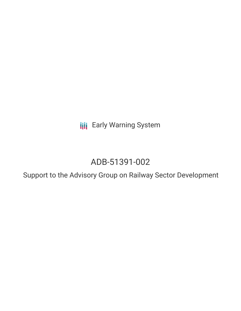**III** Early Warning System

# ADB-51391-002

Support to the Advisory Group on Railway Sector Development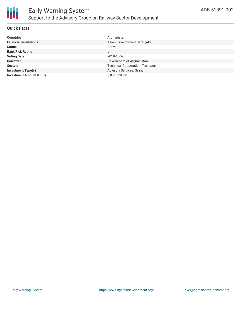

#### **Quick Facts**

| <b>Countries</b>               | Afghanistan                             |
|--------------------------------|-----------------------------------------|
| <b>Financial Institutions</b>  | Asian Development Bank (ADB)            |
| <b>Status</b>                  | Active                                  |
| <b>Bank Risk Rating</b>        |                                         |
| <b>Voting Date</b>             | 2018-10-26                              |
| <b>Borrower</b>                | Government of Afghanistan               |
| <b>Sectors</b>                 | <b>Technical Cooperation, Transport</b> |
| <b>Investment Type(s)</b>      | Advisory Services, Grant                |
| <b>Investment Amount (USD)</b> | $$0.23$ million                         |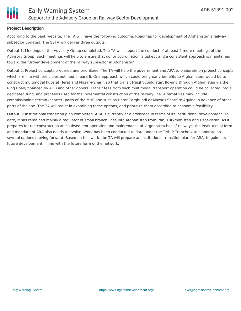

#### **Project Description**

According to the bank website, The TA will have the following outcome: Roadmap for development of Afghanistan's railway subsector updated. The SSTA will deliver three outputs:

Output 1: Meetings of the Advisory Group completed. The TA will support the conduct of at least 2 more meetings of the Advisory Group. Such meetings will help to ensure that donor coordination is upkept and a consistent approach is maintained toward the further development of the railway subsector in Afghanistan.

Output 2: Project concepts prepared and prioritized. The TA will help the government and ARA to elaborate on project concepts which are line with principles outlined in para 6. One approach which could bring early benefits to Afghanistan, would be to construct multimodal hubs at Herat and Mazar-i-Sharif, so that transit freight could start flowing through Afghanistan via the Ring Road, financed by ADB and other donors. Transit fees from such multimodal transport operation could be collected into a dedicated fund, and proceeds used for the incremental construction of the railway line. Alternatives may include commissioning certain (shorter) parts of the MHR line such as Herat-Torghundi or Mazar-I-Sharif to Aquina in advance of other parts of the line. The TA will assist in examining these options, and prioritize them according to economic feasibility.

Output 3: Institutional transition plan completed. ARA is currently at a crossroad in terms of its institutional development. To date, it has remained mainly a regulator of small branch lines into Afghanistan from Iran, Turkmenistan and Uzbekistan. As it prepares for the construction and subsequent operation and maintenance of larger stretches of railways, the institutional form and mandate of ARA also needs to evolve. Work has been conducted to date under the TNDIP Tranche 4 to elaborate on several options moving forward. Based on this work, the TA will prepare an institutional transition plan for ARA, to guide its future development in line with the future form of the network.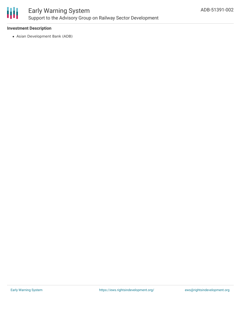

### Early Warning System Support to the Advisory Group on Railway Sector Development

#### **Investment Description**

Asian Development Bank (ADB)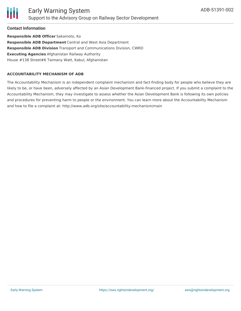

#### **Contact Information**

**Responsible ADB Officer** Sakamoto, Ko **Responsible ADB Department** Central and West Asia Department **Responsible ADB Division** Transport and Communications Division, CWRD **Executing Agencies** Afghanistan Railway Authority House #138 Street#6 Taimany Watt, Kabul, Afghanistan

#### **ACCOUNTABILITY MECHANISM OF ADB**

The Accountability Mechanism is an independent complaint mechanism and fact-finding body for people who believe they are likely to be, or have been, adversely affected by an Asian Development Bank-financed project. If you submit a complaint to the Accountability Mechanism, they may investigate to assess whether the Asian Development Bank is following its own policies and procedures for preventing harm to people or the environment. You can learn more about the Accountability Mechanism and how to file a complaint at: http://www.adb.org/site/accountability-mechanism/main